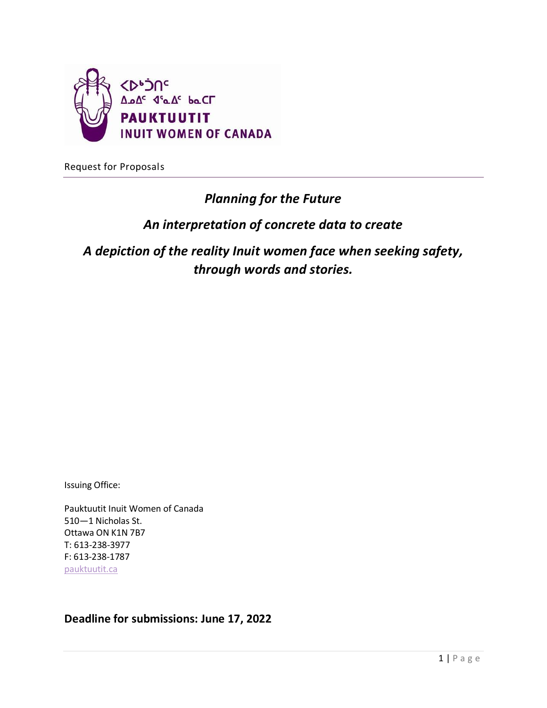

Request for Proposals

# *Planning for the Future*

# *An interpretation of concrete data to create*

*A depiction of the reality Inuit women face when seeking safety, through words and stories.*

Issuing Office:

Pauktuutit Inuit Women of Canada 510—1 Nicholas St. Ottawa ON K1N 7B7 T: 613-238-3977 F: 613-238-1787 [pauktuutit.ca](http://www.pauktuutit.ca/)

**Deadline for submissions: June 17, 2022**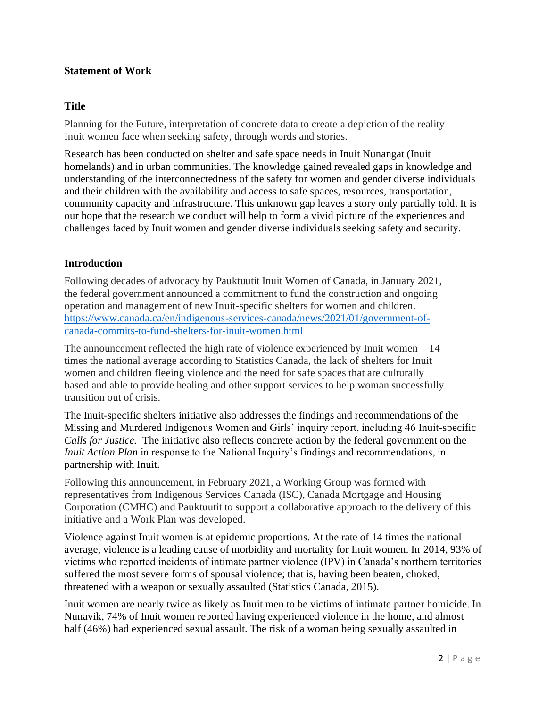#### **Statement of Work**

#### **Title**

Planning for the Future, interpretation of concrete data to create a depiction of the reality Inuit women face when seeking safety, through words and stories.

Research has been conducted on shelter and safe space needs in Inuit Nunangat (Inuit homelands) and in urban communities. The knowledge gained revealed gaps in knowledge and understanding of the interconnectedness of the safety for women and gender diverse individuals and their children with the availability and access to safe spaces, resources, transportation, community capacity and infrastructure. This unknown gap leaves a story only partially told. It is our hope that the research we conduct will help to form a vivid picture of the experiences and challenges faced by Inuit women and gender diverse individuals seeking safety and security.

#### **Introduction**

Following decades of advocacy by Pauktuutit Inuit Women of Canada, in January 2021, the federal government announced a commitment to fund the construction and ongoing operation and management of new Inuit-specific shelters for women and children. [https://www.canada.ca/en/indigenous-services-canada/news/2021/01/government-of](https://www.canada.ca/en/indigenous-services-canada/news/2021/01/government-of-canada-commits-to-fund-shelters-for-inuit-women.html)[canada-commits-to-fund-shelters-for-inuit-women.html](https://www.canada.ca/en/indigenous-services-canada/news/2021/01/government-of-canada-commits-to-fund-shelters-for-inuit-women.html)

The announcement reflected the high rate of violence experienced by Inuit women  $-14$ times the national average according to Statistics Canada, the lack of shelters for Inuit women and children fleeing violence and the need for safe spaces that are culturally based and able to provide healing and other support services to help woman successfully transition out of crisis.

The Inuit-specific shelters initiative also addresses the findings and recommendations of the Missing and Murdered Indigenous Women and Girls' inquiry report, including 46 Inuit-specific *Calls for Justice.* The initiative also reflects concrete action by the federal government on the *Inuit Action Plan* in response to the National Inquiry's findings and recommendations, in partnership with Inuit.

Following this announcement, in February 2021, a Working Group was formed with representatives from Indigenous Services Canada (ISC), Canada Mortgage and Housing Corporation (CMHC) and Pauktuutit to support a collaborative approach to the delivery of this initiative and a Work Plan was developed.

Violence against Inuit women is at epidemic proportions. At the rate of 14 times the national average, violence is a leading cause of morbidity and mortality for Inuit women. In 2014, 93% of victims who reported incidents of intimate partner violence (IPV) in Canada's northern territories suffered the most severe forms of spousal violence; that is, having been beaten, choked, threatened with a weapon or sexually assaulted (Statistics Canada, 2015).

Inuit women are nearly twice as likely as Inuit men to be victims of intimate partner homicide. In Nunavik, 74% of Inuit women reported having experienced violence in the home, and almost half (46%) had experienced sexual assault. The risk of a woman being sexually assaulted in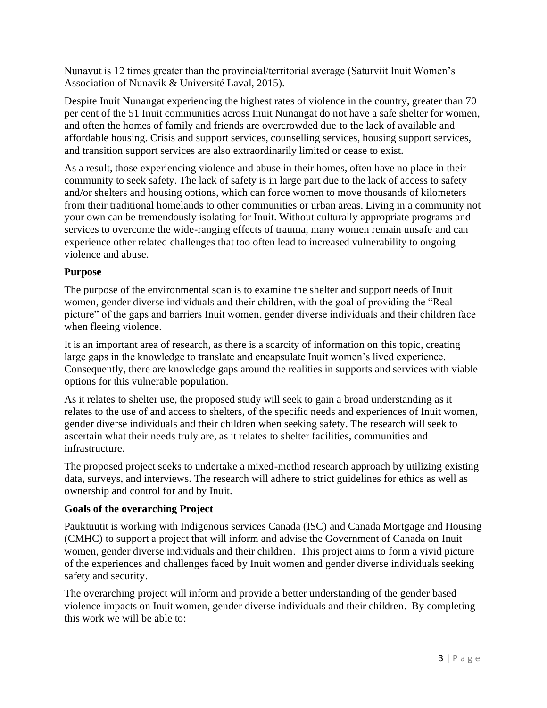Nunavut is 12 times greater than the provincial/territorial average (Saturviit Inuit Women's Association of Nunavik & Université Laval, 2015).

Despite Inuit Nunangat experiencing the highest rates of violence in the country, greater than 70 per cent of the 51 Inuit communities across Inuit Nunangat do not have a safe shelter for women, and often the homes of family and friends are overcrowded due to the lack of available and affordable housing. Crisis and support services, counselling services, housing support services, and transition support services are also extraordinarily limited or cease to exist.

As a result, those experiencing violence and abuse in their homes, often have no place in their community to seek safety. The lack of safety is in large part due to the lack of access to safety and/or shelters and housing options, which can force women to move thousands of kilometers from their traditional homelands to other communities or urban areas. Living in a community not your own can be tremendously isolating for Inuit. Without culturally appropriate programs and services to overcome the wide-ranging effects of trauma, many women remain unsafe and can experience other related challenges that too often lead to increased vulnerability to ongoing violence and abuse.

# **Purpose**

The purpose of the environmental scan is to examine the shelter and support needs of Inuit women, gender diverse individuals and their children, with the goal of providing the "Real picture" of the gaps and barriers Inuit women, gender diverse individuals and their children face when fleeing violence.

It is an important area of research, as there is a scarcity of information on this topic, creating large gaps in the knowledge to translate and encapsulate Inuit women's lived experience. Consequently, there are knowledge gaps around the realities in supports and services with viable options for this vulnerable population.

As it relates to shelter use, the proposed study will seek to gain a broad understanding as it relates to the use of and access to shelters, of the specific needs and experiences of Inuit women, gender diverse individuals and their children when seeking safety. The research will seek to ascertain what their needs truly are, as it relates to shelter facilities, communities and infrastructure.

The proposed project seeks to undertake a mixed-method research approach by utilizing existing data, surveys, and interviews. The research will adhere to strict guidelines for ethics as well as ownership and control for and by Inuit.

# **Goals of the overarching Project**

Pauktuutit is working with Indigenous services Canada (ISC) and Canada Mortgage and Housing (CMHC) to support a project that will inform and advise the Government of Canada on Inuit women, gender diverse individuals and their children. This project aims to form a vivid picture of the experiences and challenges faced by Inuit women and gender diverse individuals seeking safety and security.

The overarching project will inform and provide a better understanding of the gender based violence impacts on Inuit women, gender diverse individuals and their children. By completing this work we will be able to: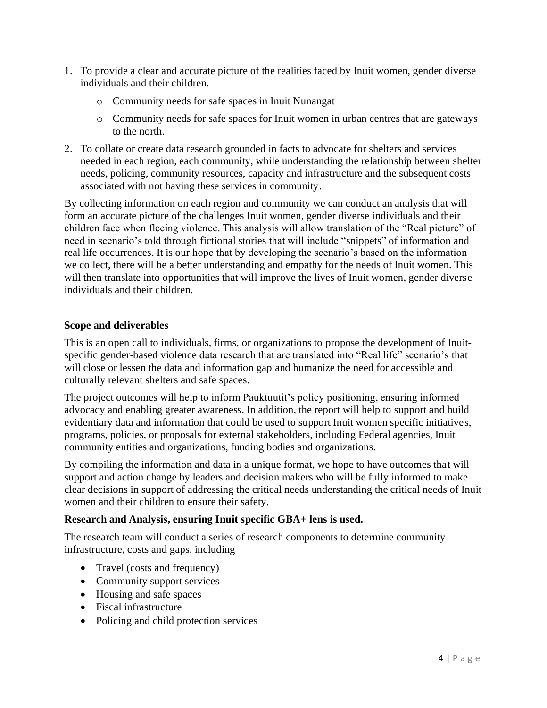- 1. To provide a clear and accurate picture of the realities faced by Inuit women, gender diverse individuals and their children.
	- o Community needs for safe spaces in Inuit Nunangat
	- o Community needs for safe spaces for Inuit women in urban centres that are gateways to the north.
- 2. To collate or create data research grounded in facts to advocate for shelters and services needed in each region, each community, while understanding the relationship between shelter needs, policing, community resources, capacity and infrastructure and the subsequent costs associated with not having these services in community.

By collecting information on each region and community we can conduct an analysis that will form an accurate picture of the challenges Inuit women, gender diverse individuals and their children face when fleeing violence. This analysis will allow translation of the "Real picture" of need in scenario's told through fictional stories that will include "snippets" of information and real life occurrences. It is our hope that by developing the scenario's based on the information we collect, there will be a better understanding and empathy for the needs of Inuit women. This will then translate into opportunities that will improve the lives of Inuit women, gender diverse individuals and their children.

#### **Scope and deliverables**

This is an open call to individuals, firms, or organizations to propose the development of Inuitspecific gender-based violence data research that are translated into "Real life" scenario's that will close or lessen the data and information gap and humanize the need for accessible and culturally relevant shelters and safe spaces.

The project outcomes will help to inform Pauktuutit's policy positioning, ensuring informed advocacy and enabling greater awareness. In addition, the report will help to support and build evidentiary data and information that could be used to support Inuit women specific initiatives, programs, policies, or proposals for external stakeholders, including Federal agencies, Inuit community entities and organizations, funding bodies and organizations.

By compiling the information and data in a unique format, we hope to have outcomes that will support and action change by leaders and decision makers who will be fully informed to make clear decisions in support of addressing the critical needs understanding the critical needs of Inuit women and their children to ensure their safety.

# **Research and Analysis, ensuring Inuit specific GBA+ lens is used.**

The research team will conduct a series of research components to determine community infrastructure, costs and gaps, including

- Travel (costs and frequency)
- Community support services
- Housing and safe spaces
- Fiscal infrastructure
- Policing and child protection services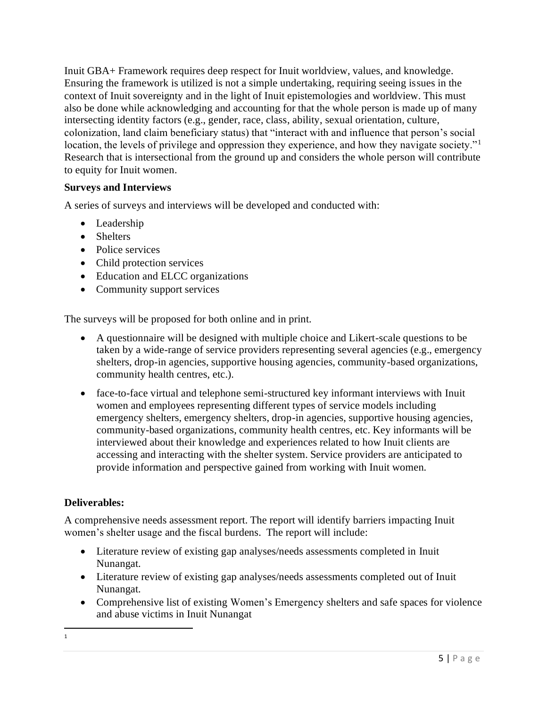Inuit GBA+ Framework requires deep respect for Inuit worldview, values, and knowledge. Ensuring the framework is utilized is not a simple undertaking, requiring seeing issues in the context of Inuit sovereignty and in the light of Inuit epistemologies and worldview. This must also be done while acknowledging and accounting for that the whole person is made up of many intersecting identity factors (e.g., gender, race, class, ability, sexual orientation, culture, colonization, land claim beneficiary status) that "interact with and influence that person's social location, the levels of privilege and oppression they experience, and how they navigate society."<sup>1</sup> Research that is intersectional from the ground up and considers the whole person will contribute to equity for Inuit women.

# **Surveys and Interviews**

A series of surveys and interviews will be developed and conducted with:

- Leadership
- Shelters
- Police services
- Child protection services
- Education and ELCC organizations
- Community support services

The surveys will be proposed for both online and in print.

- A questionnaire will be designed with multiple choice and Likert-scale questions to be taken by a wide-range of service providers representing several agencies (e.g., emergency shelters, drop-in agencies, supportive housing agencies, community-based organizations, community health centres, etc.).
- face-to-face virtual and telephone semi-structured key informant interviews with Inuit women and employees representing different types of service models including emergency shelters, emergency shelters, drop-in agencies, supportive housing agencies, community-based organizations, community health centres, etc. Key informants will be interviewed about their knowledge and experiences related to how Inuit clients are accessing and interacting with the shelter system. Service providers are anticipated to provide information and perspective gained from working with Inuit women.

#### **Deliverables:**

A comprehensive needs assessment report. The report will identify barriers impacting Inuit women's shelter usage and the fiscal burdens. The report will include:

- Literature review of existing gap analyses/needs assessments completed in Inuit Nunangat.
- Literature review of existing gap analyses/needs assessments completed out of Inuit Nunangat.
- Comprehensive list of existing Women's Emergency shelters and safe spaces for violence and abuse victims in Inuit Nunangat
	- 5 | P a g e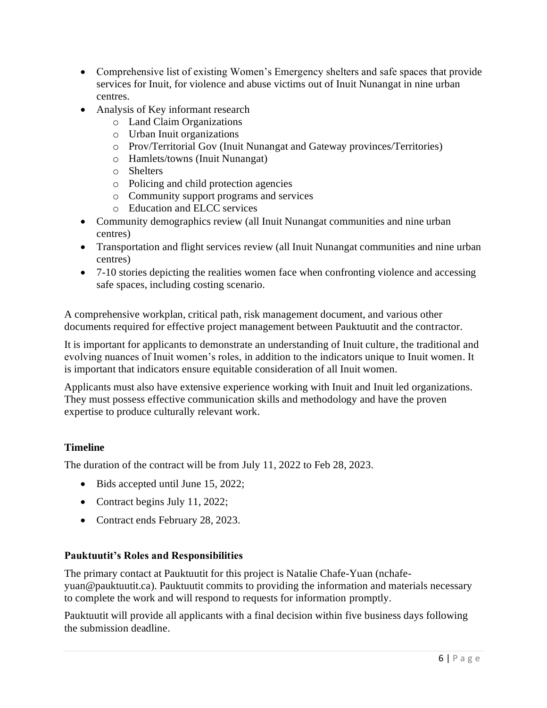- Comprehensive list of existing Women's Emergency shelters and safe spaces that provide services for Inuit, for violence and abuse victims out of Inuit Nunangat in nine urban centres.
- Analysis of Key informant research
	- o Land Claim Organizations
	- o Urban Inuit organizations
	- o Prov/Territorial Gov (Inuit Nunangat and Gateway provinces/Territories)
	- o Hamlets/towns (Inuit Nunangat)
	- o Shelters
	- o Policing and child protection agencies
	- o Community support programs and services
	- o Education and ELCC services
- Community demographics review (all Inuit Nunangat communities and nine urban centres)
- Transportation and flight services review (all Inuit Nunangat communities and nine urban centres)
- 7-10 stories depicting the realities women face when confronting violence and accessing safe spaces, including costing scenario.

A comprehensive workplan, critical path, risk management document, and various other documents required for effective project management between Pauktuutit and the contractor.

It is important for applicants to demonstrate an understanding of Inuit culture, the traditional and evolving nuances of Inuit women's roles, in addition to the indicators unique to Inuit women. It is important that indicators ensure equitable consideration of all Inuit women.

Applicants must also have extensive experience working with Inuit and Inuit led organizations. They must possess effective communication skills and methodology and have the proven expertise to produce culturally relevant work.

# **Timeline**

The duration of the contract will be from July 11, 2022 to Feb 28, 2023.

- Bids accepted until June 15, 2022;
- Contract begins July 11, 2022;
- Contract ends February 28, 2023.

# **Pauktuutit's Roles and Responsibilities**

The primary contact at Pauktuutit for this project is Natalie Chafe-Yuan (nchafeyuan@pauktuutit.ca). Pauktuutit commits to providing the information and materials necessary to complete the work and will respond to requests for information promptly.

Pauktuutit will provide all applicants with a final decision within five business days following the submission deadline.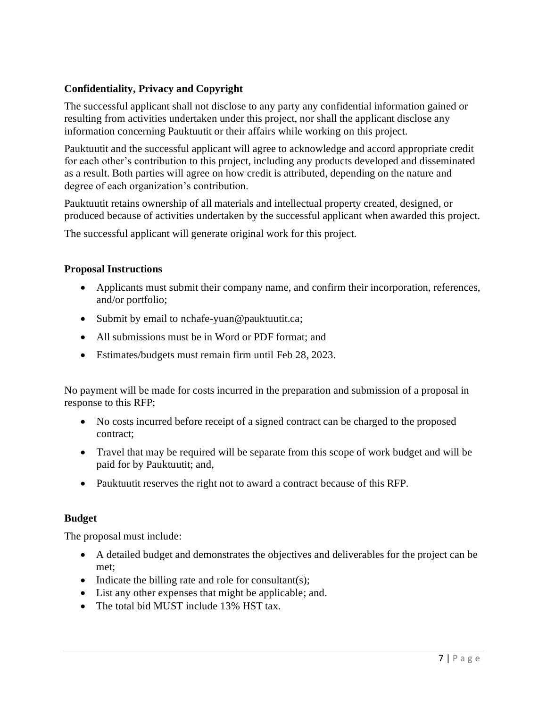# **Confidentiality, Privacy and Copyright**

The successful applicant shall not disclose to any party any confidential information gained or resulting from activities undertaken under this project, nor shall the applicant disclose any information concerning Pauktuutit or their affairs while working on this project.

Pauktuutit and the successful applicant will agree to acknowledge and accord appropriate credit for each other's contribution to this project, including any products developed and disseminated as a result. Both parties will agree on how credit is attributed, depending on the nature and degree of each organization's contribution.

Pauktuutit retains ownership of all materials and intellectual property created, designed, or produced because of activities undertaken by the successful applicant when awarded this project.

The successful applicant will generate original work for this project.

#### **Proposal Instructions**

- Applicants must submit their company name, and confirm their incorporation, references, and/or portfolio;
- Submit by email to nchafe-yuan@pauktuutit.ca;
- All submissions must be in Word or PDF format; and
- Estimates/budgets must remain firm until Feb 28, 2023.

No payment will be made for costs incurred in the preparation and submission of a proposal in response to this RFP;

- No costs incurred before receipt of a signed contract can be charged to the proposed contract;
- Travel that may be required will be separate from this scope of work budget and will be paid for by Pauktuutit; and,
- Pauktuutit reserves the right not to award a contract because of this RFP.

#### **Budget**

The proposal must include:

- A detailed budget and demonstrates the objectives and deliverables for the project can be met;
- Indicate the billing rate and role for consultant(s);
- List any other expenses that might be applicable; and.
- The total bid MUST include 13% HST tax.